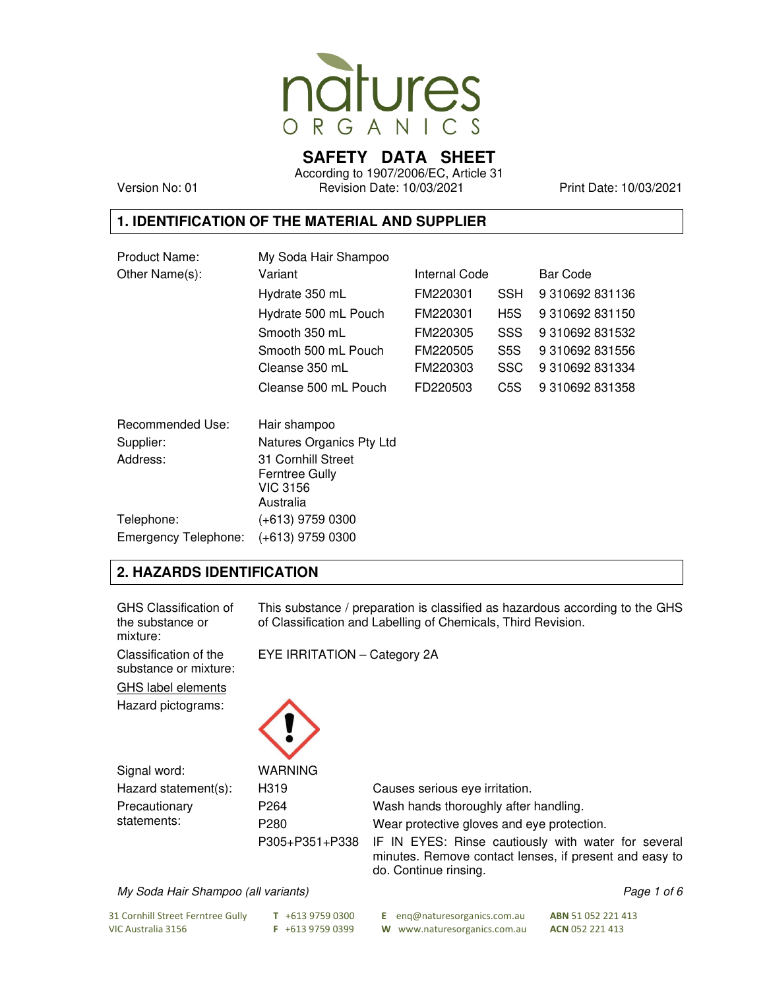

**SAFETY DATA SHEET** 

According to 1907/2006/EC, Article 31 Version No: 01 Revision Date: 10/03/2021 Print Date: 10/03/2021

## **1. IDENTIFICATION OF THE MATERIAL AND SUPPLIER**

| Product Name:        | My Soda Hair Shampoo                                                 |               |            |                 |  |
|----------------------|----------------------------------------------------------------------|---------------|------------|-----------------|--|
| Other Name(s):       | Variant                                                              | Internal Code |            | Bar Code        |  |
|                      | Hydrate 350 mL                                                       | FM220301      | <b>SSH</b> | 9 310692 831136 |  |
|                      | Hydrate 500 mL Pouch                                                 | FM220301      | H5S        | 9 310692 831150 |  |
|                      | Smooth 350 mL                                                        | FM220305      | <b>SSS</b> | 9 310692 831532 |  |
|                      | Smooth 500 mL Pouch                                                  | FM220505      | S5S        | 9 310692 831556 |  |
|                      | Cleanse 350 mL                                                       | FM220303      | <b>SSC</b> | 9 310692 831334 |  |
|                      | Cleanse 500 mL Pouch                                                 | FD220503      | C5S        | 9 310692 831358 |  |
| Recommended Use:     | Hair shampoo                                                         |               |            |                 |  |
| Supplier:            | Natures Organics Pty Ltd                                             |               |            |                 |  |
| Address:             | 31 Cornhill Street<br>Ferntree Gully<br><b>VIC 3156</b><br>Australia |               |            |                 |  |
| Telephone:           | (+613) 9759 0300                                                     |               |            |                 |  |
| Emergency Telephone: | (+613) 9759 0300                                                     |               |            |                 |  |

## **2. HAZARDS IDENTIFICATION**

| GHS Classification of<br>the substance or<br>mixture: | This substance / preparation is classified as hazardous according to the GHS<br>of Classification and Labelling of Chemicals, Third Revision. |                                                                                                                                        |  |
|-------------------------------------------------------|-----------------------------------------------------------------------------------------------------------------------------------------------|----------------------------------------------------------------------------------------------------------------------------------------|--|
| Classification of the<br>substance or mixture:        | EYE IRRITATION - Category 2A                                                                                                                  |                                                                                                                                        |  |
| <b>GHS label elements</b>                             |                                                                                                                                               |                                                                                                                                        |  |
| Hazard pictograms:                                    |                                                                                                                                               |                                                                                                                                        |  |
| Signal word:                                          | <b>WARNING</b>                                                                                                                                |                                                                                                                                        |  |
| Hazard statement(s):                                  | H319                                                                                                                                          | Causes serious eye irritation.                                                                                                         |  |
| Precautionary                                         | P <sub>264</sub>                                                                                                                              | Wash hands thoroughly after handling.                                                                                                  |  |
| statements:                                           | P <sub>280</sub>                                                                                                                              | Wear protective gloves and eye protection.                                                                                             |  |
|                                                       | P305+P351+P338                                                                                                                                | IF IN EYES: Rinse cautiously with water for several<br>minutes. Remove contact lenses, if present and easy to<br>do. Continue rinsing. |  |

My Soda Hair Shampoo (all variants) and the extraordinary page 1 of 6

VIC Australia 3156 **F** +613 9759 0399 **W** www.naturesorganics.com.au **ACN** 052 221 413

31 Cornhill Street Ferntree Gully **T** +613 9759 0300 **E** enq@naturesorganics.com.au **ABN** 51 052 221 413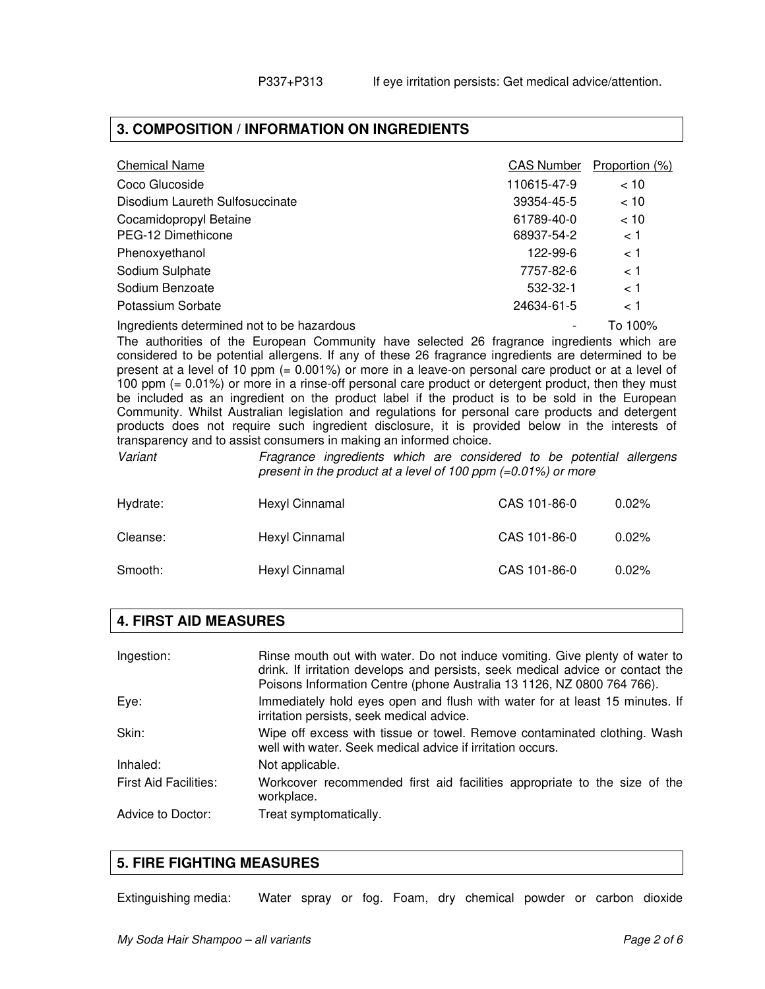### **3. COMPOSITION / INFORMATION ON INGREDIENTS**

| <b>Chemical Name</b>            | <b>CAS Number</b> | Proportion (%) |
|---------------------------------|-------------------|----------------|
| Coco Glucoside                  | 110615-47-9       | < 10           |
| Disodium Laureth Sulfosuccinate | 39354-45-5        | < 10           |
| Cocamidopropyl Betaine          | 61789-40-0        | < 10           |
| PEG-12 Dimethicone              | 68937-54-2        | < 1            |
| Phenoxyethanol                  | 122-99-6          | < 1            |
| Sodium Sulphate                 | 7757-82-6         | < 1            |
| Sodium Benzoate                 | 532-32-1          | < 1            |
| Potassium Sorbate               | 24634-61-5        | 1 >            |
|                                 |                   |                |

Ingredients determined not to be hazardous - To 100%

The authorities of the European Community have selected 26 fragrance ingredients which are considered to be potential allergens. If any of these 26 fragrance ingredients are determined to be present at a level of 10 ppm (= 0.001%) or more in a leave-on personal care product or at a level of 100 ppm (= 0.01%) or more in a rinse-off personal care product or detergent product, then they must be included as an ingredient on the product label if the product is to be sold in the European Community. Whilst Australian legislation and regulations for personal care products and detergent products does not require such ingredient disclosure, it is provided below in the interests of transparency and to assist consumers in making an informed choice.

Variant Fragrance ingredients which are considered to be potential allergens present in the product at a level of 100 ppm (=0.01%) or more

| Hydrate: | Hexyl Cinnamal | CAS 101-86-0 | $0.02\%$ |
|----------|----------------|--------------|----------|
| Cleanse: | Hexyl Cinnamal | CAS 101-86-0 | $0.02\%$ |
| Smooth:  | Hexyl Cinnamal | CAS 101-86-0 | $0.02\%$ |

### **4. FIRST AID MEASURES**

| Ingestion:                   | Rinse mouth out with water. Do not induce vomiting. Give plenty of water to<br>drink. If irritation develops and persists, seek medical advice or contact the<br>Poisons Information Centre (phone Australia 13 1126, NZ 0800 764 766). |
|------------------------------|-----------------------------------------------------------------------------------------------------------------------------------------------------------------------------------------------------------------------------------------|
| Eye:                         | Immediately hold eyes open and flush with water for at least 15 minutes. If<br>irritation persists, seek medical advice.                                                                                                                |
| Skin:                        | Wipe off excess with tissue or towel. Remove contaminated clothing. Wash<br>well with water. Seek medical advice if irritation occurs.                                                                                                  |
| Inhaled:                     | Not applicable.                                                                                                                                                                                                                         |
| <b>First Aid Facilities:</b> | Workcover recommended first aid facilities appropriate to the size of the<br>workplace.                                                                                                                                                 |
| Advice to Doctor:            | Treat symptomatically.                                                                                                                                                                                                                  |

### **5. FIRE FIGHTING MEASURES**

Extinguishing media: Water spray or fog. Foam, dry chemical powder or carbon dioxide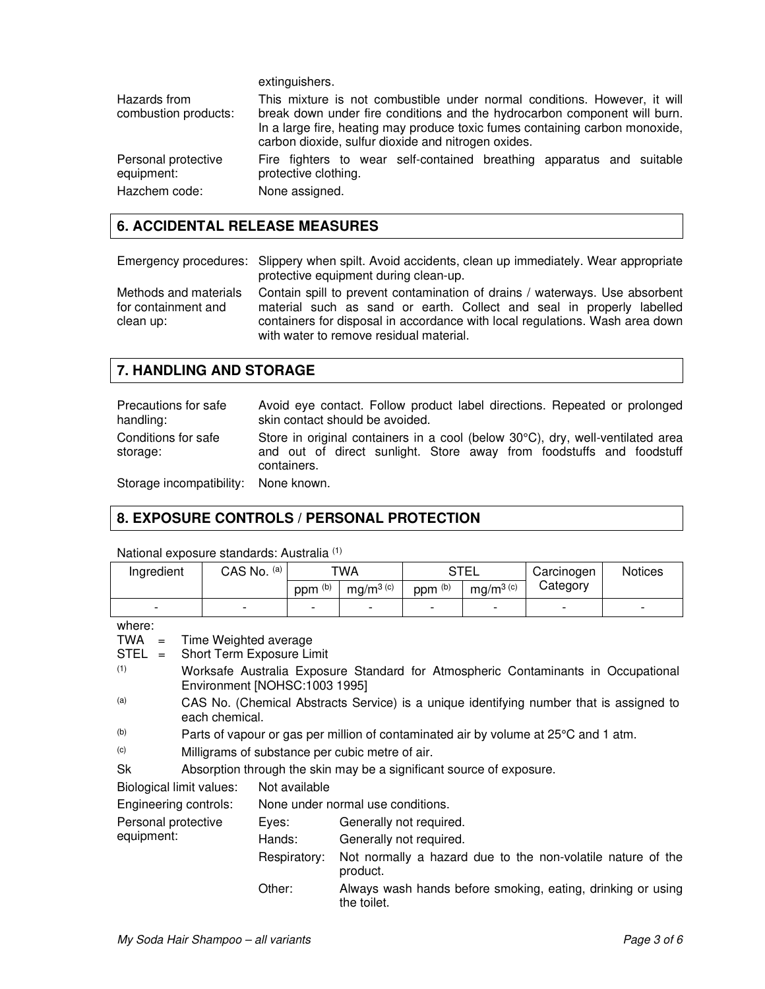extinguishers.

| Hazards from                      | This mixture is not combustible under normal conditions. However, it will                                                                                                                                        |
|-----------------------------------|------------------------------------------------------------------------------------------------------------------------------------------------------------------------------------------------------------------|
| combustion products:              | break down under fire conditions and the hydrocarbon component will burn.<br>In a large fire, heating may produce toxic fumes containing carbon monoxide,<br>carbon dioxide, sulfur dioxide and nitrogen oxides. |
| Personal protective<br>equipment: | Fire fighters to wear self-contained breathing apparatus and suitable<br>protective clothing.                                                                                                                    |
| Hazchem code:                     | None assigned.                                                                                                                                                                                                   |

## **6. ACCIDENTAL RELEASE MEASURES**

Emergency procedures: Slippery when spilt. Avoid accidents, clean up immediately. Wear appropriate protective equipment during clean-up.

Methods and materials for containment and clean up:

Contain spill to prevent contamination of drains / waterways. Use absorbent material such as sand or earth. Collect and seal in properly labelled containers for disposal in accordance with local regulations. Wash area down with water to remove residual material.

## **7. HANDLING AND STORAGE**

| Precautions for safe<br>handling: | Avoid eye contact. Follow product label directions. Repeated or prolonged<br>skin contact should be avoided.                                                          |
|-----------------------------------|-----------------------------------------------------------------------------------------------------------------------------------------------------------------------|
| Conditions for safe<br>storage:   | Store in original containers in a cool (below 30°C), dry, well-ventilated area<br>and out of direct sunlight. Store away from foodstuffs and foodstuff<br>containers. |
| Storage incompatibility:          | None known.                                                                                                                                                           |

# **8. EXPOSURE CONTROLS / PERSONAL PROTECTION**

| Ingredient                                                                 |                                                                                                           | CAS No. (a)                   |                    | <b>TWA</b>                        |                    | <b>STEL</b>  |          | <b>Notices</b>                                                                    |
|----------------------------------------------------------------------------|-----------------------------------------------------------------------------------------------------------|-------------------------------|--------------------|-----------------------------------|--------------------|--------------|----------|-----------------------------------------------------------------------------------|
|                                                                            |                                                                                                           |                               | ppm <sup>(b)</sup> | $mg/m^{3}$ (c)                    | ppm <sup>(b)</sup> | $mg/m^3$ (c) | Category |                                                                                   |
|                                                                            |                                                                                                           |                               |                    |                                   |                    |              |          |                                                                                   |
| where:                                                                     |                                                                                                           |                               |                    |                                   |                    |              |          |                                                                                   |
| TWA<br>$=$                                                                 |                                                                                                           | Time Weighted average         |                    |                                   |                    |              |          |                                                                                   |
| STEL<br>$=$                                                                |                                                                                                           | Short Term Exposure Limit     |                    |                                   |                    |              |          |                                                                                   |
| (1)                                                                        |                                                                                                           | Environment [NOHSC:1003 1995] |                    |                                   |                    |              |          | Worksafe Australia Exposure Standard for Atmospheric Contaminants in Occupational |
| (a)                                                                        |                                                                                                           |                               |                    |                                   |                    |              |          |                                                                                   |
|                                                                            | CAS No. (Chemical Abstracts Service) is a unique identifying number that is assigned to<br>each chemical. |                               |                    |                                   |                    |              |          |                                                                                   |
| (b)                                                                        | Parts of vapour or gas per million of contaminated air by volume at 25°C and 1 atm.                       |                               |                    |                                   |                    |              |          |                                                                                   |
| (c)                                                                        | Milligrams of substance per cubic metre of air.                                                           |                               |                    |                                   |                    |              |          |                                                                                   |
| Sk<br>Absorption through the skin may be a significant source of exposure. |                                                                                                           |                               |                    |                                   |                    |              |          |                                                                                   |
| Biological limit values:                                                   |                                                                                                           |                               | Not available      |                                   |                    |              |          |                                                                                   |
| Engineering controls:                                                      |                                                                                                           |                               |                    | None under normal use conditions. |                    |              |          |                                                                                   |
| Personal protective                                                        |                                                                                                           | Eyes:                         |                    | Generally not required.           |                    |              |          |                                                                                   |
| equipment:                                                                 |                                                                                                           | Hands:                        |                    | Generally not required.           |                    |              |          |                                                                                   |
|                                                                            |                                                                                                           |                               | Respiratory:       | product.                          |                    |              |          | Not normally a hazard due to the non-volatile nature of the                       |
|                                                                            |                                                                                                           | Other:                        |                    | the toilet.                       |                    |              |          | Always wash hands before smoking, eating, drinking or using                       |

National exposure standards: Australia (1)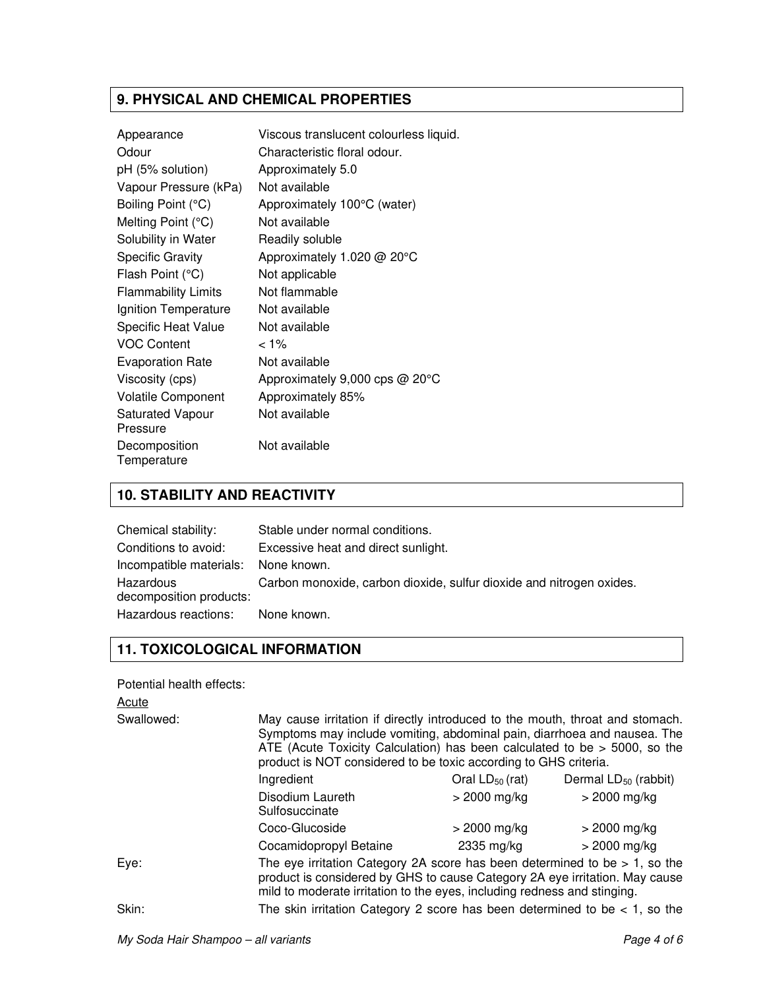# **9. PHYSICAL AND CHEMICAL PROPERTIES**

| Appearance                          | Viscous translucent colourless liquid. |
|-------------------------------------|----------------------------------------|
| Odour                               | Characteristic floral odour.           |
| pH (5% solution)                    | Approximately 5.0                      |
| Vapour Pressure (kPa)               | Not available                          |
| Boiling Point (°C)                  | Approximately 100°C (water)            |
| Melting Point $(°C)$                | Not available                          |
| Solubility in Water                 | Readily soluble                        |
| <b>Specific Gravity</b>             | Approximately 1.020 @ 20°C             |
| Flash Point (°C)                    | Not applicable                         |
| <b>Flammability Limits</b>          | Not flammable                          |
| Ignition Temperature                | Not available                          |
| <b>Specific Heat Value</b>          | Not available                          |
| <b>VOC Content</b>                  | $< 1\%$                                |
| <b>Evaporation Rate</b>             | Not available                          |
| Viscosity (cps)                     | Approximately 9,000 cps @ 20°C         |
| <b>Volatile Component</b>           | Approximately 85%                      |
| <b>Saturated Vapour</b><br>Pressure | Not available                          |
| Decomposition<br>Temperature        | Not available                          |

# **10. STABILITY AND REACTIVITY**

| Chemical stability:                  | Stable under normal conditions.                                      |
|--------------------------------------|----------------------------------------------------------------------|
| Conditions to avoid:                 | Excessive heat and direct sunlight.                                  |
| Incompatible materials: None known.  |                                                                      |
| Hazardous<br>decomposition products: | Carbon monoxide, carbon dioxide, sulfur dioxide and nitrogen oxides. |
| Hazardous reactions: None known.     |                                                                      |

# **11. TOXICOLOGICAL INFORMATION**

Potential health effects:

| Acute      |                                                                                                                                                                                                                                          |                                                                                                                                                                                                                                                                                                              |                                  |  |  |
|------------|------------------------------------------------------------------------------------------------------------------------------------------------------------------------------------------------------------------------------------------|--------------------------------------------------------------------------------------------------------------------------------------------------------------------------------------------------------------------------------------------------------------------------------------------------------------|----------------------------------|--|--|
| Swallowed: |                                                                                                                                                                                                                                          | May cause irritation if directly introduced to the mouth, throat and stomach.<br>Symptoms may include vomiting, abdominal pain, diarrhoea and nausea. The<br>ATE (Acute Toxicity Calculation) has been calculated to be $>$ 5000, so the<br>product is NOT considered to be toxic according to GHS criteria. |                                  |  |  |
|            | Ingredient                                                                                                                                                                                                                               | Oral $LD_{50}$ (rat)                                                                                                                                                                                                                                                                                         | Dermal LD <sub>50</sub> (rabbit) |  |  |
|            | Disodium Laureth<br>Sulfosuccinate                                                                                                                                                                                                       | > 2000 mg/kg                                                                                                                                                                                                                                                                                                 | $>$ 2000 mg/kg                   |  |  |
|            | Coco-Glucoside                                                                                                                                                                                                                           | > 2000 mg/kg                                                                                                                                                                                                                                                                                                 | $>$ 2000 mg/kg                   |  |  |
|            | Cocamidopropyl Betaine                                                                                                                                                                                                                   | 2335 mg/kg                                                                                                                                                                                                                                                                                                   | $>$ 2000 mg/kg                   |  |  |
| Eye:       | The eye irritation Category 2A score has been determined to be $> 1$ , so the<br>product is considered by GHS to cause Category 2A eye irritation. May cause<br>mild to moderate irritation to the eyes, including redness and stinging. |                                                                                                                                                                                                                                                                                                              |                                  |  |  |
| Skin:      | The skin irritation Category 2 score has been determined to be $<$ 1, so the                                                                                                                                                             |                                                                                                                                                                                                                                                                                                              |                                  |  |  |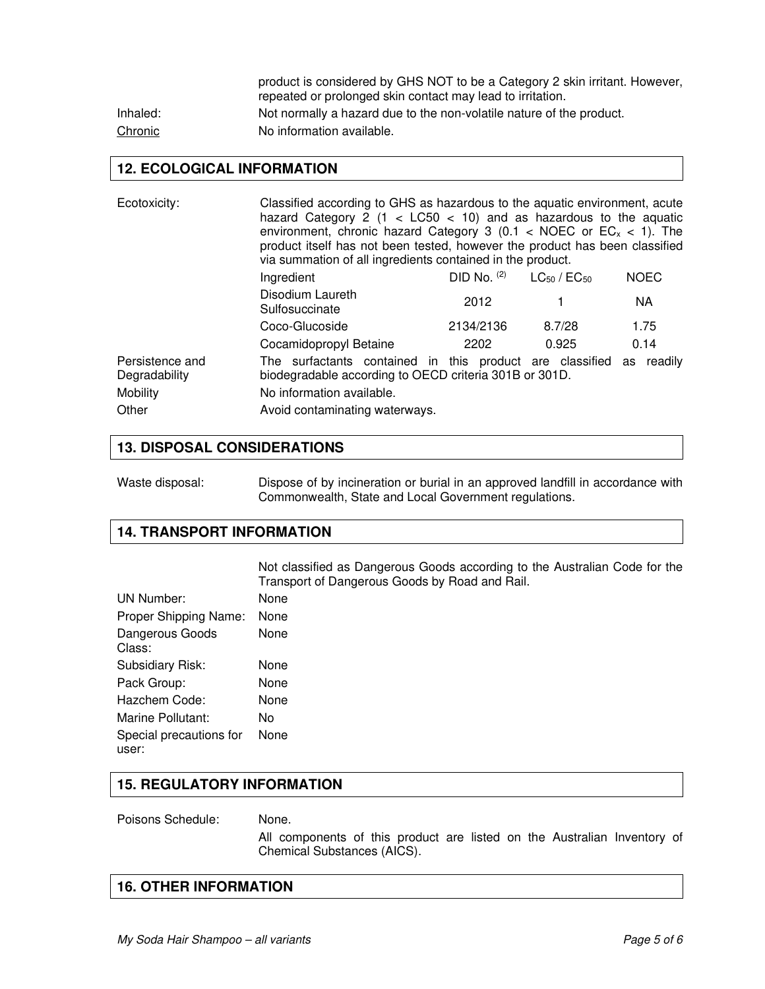|          | product is considered by GHS NOT to be a Category 2 skin irritant. However, |
|----------|-----------------------------------------------------------------------------|
|          | repeated or prolonged skin contact may lead to irritation.                  |
| Inhaled: | Not normally a hazard due to the non-volatile nature of the product.        |
| Chronic  | No information available.                                                   |

### **12. ECOLOGICAL INFORMATION**

| Ecotoxicity:                                          | Classified according to GHS as hazardous to the aquatic environment, acute<br>hazard Category 2 (1 < $LC50$ < 10) and as hazardous to the aquatic<br>environment, chronic hazard Category 3 (0.1 < NOEC or $EC_x$ < 1). The<br>product itself has not been tested, however the product has been classified<br>via summation of all ingredients contained in the product. |                 |                       |             |
|-------------------------------------------------------|--------------------------------------------------------------------------------------------------------------------------------------------------------------------------------------------------------------------------------------------------------------------------------------------------------------------------------------------------------------------------|-----------------|-----------------------|-------------|
|                                                       | Ingredient                                                                                                                                                                                                                                                                                                                                                               | $DID No.$ $(2)$ | $LG_{50}$ / $EC_{50}$ | <b>NOEC</b> |
|                                                       | Disodium Laureth<br>Sulfosuccinate                                                                                                                                                                                                                                                                                                                                       | 2012            |                       | NA.         |
|                                                       | Coco-Glucoside                                                                                                                                                                                                                                                                                                                                                           | 2134/2136       | 8.7/28                | 1.75        |
|                                                       | Cocamidopropyl Betaine                                                                                                                                                                                                                                                                                                                                                   | 2202            | 0.925                 | 0.14        |
| Persistence and<br>Degradability<br>Mobility<br>Other | The surfactants contained in this product are classified<br>biodegradable according to OECD criteria 301B or 301D.<br>No information available.<br>Avoid contaminating waterways.                                                                                                                                                                                        |                 |                       | as readily  |

#### **13. DISPOSAL CONSIDERATIONS**

| Waste disposal: | Dispose of by incineration or burial in an approved landfill in accordance with |
|-----------------|---------------------------------------------------------------------------------|
|                 | Commonwealth, State and Local Government regulations.                           |

## **14. TRANSPORT INFORMATION**

Not classified as Dangerous Goods according to the Australian Code for the Transport of Dangerous Goods by Road and Rail. UN Number: None Proper Shipping Name: None Dangerous Goods Class: None Subsidiary Risk: None Pack Group: None Hazchem Code: None Marine Pollutant: No Special precautions for user: None

### **15. REGULATORY INFORMATION**

Poisons Schedule: None.

 All components of this product are listed on the Australian Inventory of Chemical Substances (AICS).

## **16. OTHER INFORMATION**